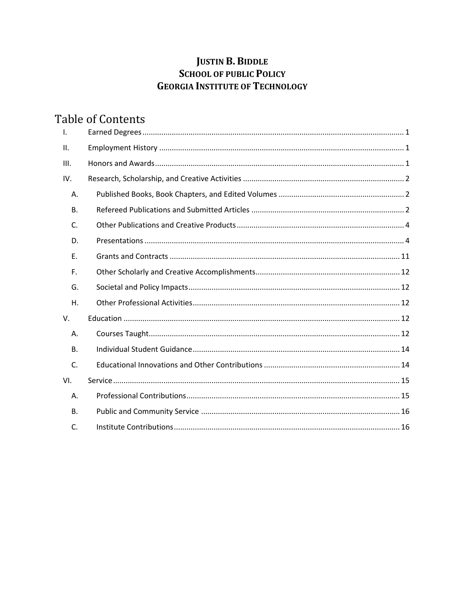# **JUSTIN B. BIDDLE SCHOOL OF PUBLIC POLICY GEORGIA INSTITUTE OF TECHNOLOGY**

# **Table of Contents**

| $\mathsf{L}$ |  |
|--------------|--|
| II.          |  |
| III.         |  |
| IV.          |  |
| Α.           |  |
| <b>B.</b>    |  |
| C.           |  |
| D.           |  |
| Ε.           |  |
| F.           |  |
| G.           |  |
| Η.           |  |
| V.           |  |
| Α.           |  |
| <b>B.</b>    |  |
| C.           |  |
| VI.          |  |
| Α.           |  |
| <b>B.</b>    |  |
| C.           |  |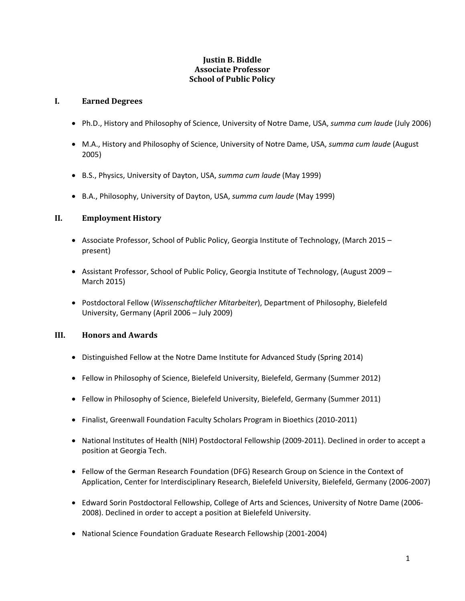#### **Justin B. Biddle Associate Professor School of Public Policy**

#### <span id="page-1-0"></span>**I. Earned Degrees**

- Ph.D., History and Philosophy of Science, University of Notre Dame, USA, *summa cum laude* (July 2006)
- M.A., History and Philosophy of Science, University of Notre Dame, USA, *summa cum laude* (August 2005)
- B.S., Physics, University of Dayton, USA, *summa cum laude* (May 1999)
- B.A., Philosophy, University of Dayton, USA, *summa cum laude* (May 1999)

#### <span id="page-1-1"></span>**II. Employment History**

- Associate Professor, School of Public Policy, Georgia Institute of Technology, (March 2015 present)
- Assistant Professor, School of Public Policy, Georgia Institute of Technology, (August 2009 March 2015)
- Postdoctoral Fellow (*Wissenschaftlicher Mitarbeiter*), Department of Philosophy, Bielefeld University, Germany (April 2006 – July 2009)

#### <span id="page-1-2"></span>**III. Honors and Awards**

- Distinguished Fellow at the Notre Dame Institute for Advanced Study (Spring 2014)
- Fellow in Philosophy of Science, Bielefeld University, Bielefeld, Germany (Summer 2012)
- Fellow in Philosophy of Science, Bielefeld University, Bielefeld, Germany (Summer 2011)
- Finalist, Greenwall Foundation Faculty Scholars Program in Bioethics (2010-2011)
- National Institutes of Health (NIH) Postdoctoral Fellowship (2009-2011). Declined in order to accept a position at Georgia Tech.
- Fellow of the German Research Foundation (DFG) Research Group on Science in the Context of Application, Center for Interdisciplinary Research, Bielefeld University, Bielefeld, Germany (2006-2007)
- Edward Sorin Postdoctoral Fellowship, College of Arts and Sciences, University of Notre Dame (2006- 2008). Declined in order to accept a position at Bielefeld University.
- National Science Foundation Graduate Research Fellowship (2001-2004)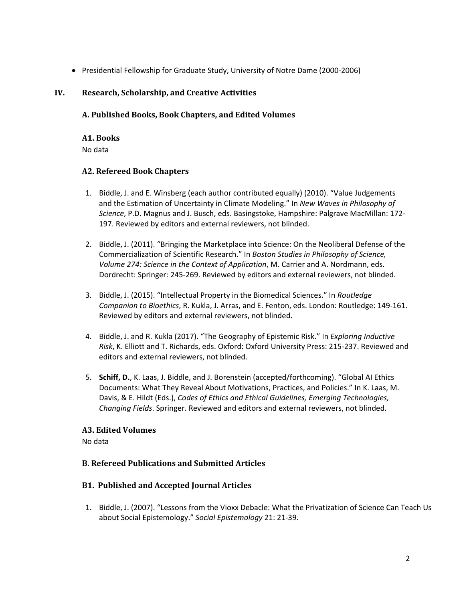• Presidential Fellowship for Graduate Study, University of Notre Dame (2000-2006)

#### <span id="page-2-0"></span>**IV. Research, Scholarship, and Creative Activities**

#### <span id="page-2-1"></span>**A. Published Books, Book Chapters, and Edited Volumes**

#### **A1. Books** No data

# **A2. Refereed Book Chapters**

- 1. Biddle, J. and E. Winsberg (each author contributed equally) (2010). "Value Judgements and the Estimation of Uncertainty in Climate Modeling." In *New Waves in Philosophy of Science*, P.D. Magnus and J. Busch, eds. Basingstoke, Hampshire: Palgrave MacMillan: 172- 197. Reviewed by editors and external reviewers, not blinded.
- 2. Biddle, J. (2011). "Bringing the Marketplace into Science: On the Neoliberal Defense of the Commercialization of Scientific Research." In *Boston Studies in Philosophy of Science, Volume 274: Science in the Context of Application*, M. Carrier and A. Nordmann, eds. Dordrecht: Springer: 245-269. Reviewed by editors and external reviewers, not blinded.
- 3. Biddle, J. (2015). "Intellectual Property in the Biomedical Sciences." In *Routledge Companion to Bioethics*, R. Kukla, J. Arras, and E. Fenton, eds. London: Routledge: 149-161. Reviewed by editors and external reviewers, not blinded.
- 4. Biddle, J. and R. Kukla (2017). "The Geography of Epistemic Risk." In *Exploring Inductive Risk*, K. Elliott and T. Richards, eds. Oxford: Oxford University Press: 215-237. Reviewed and editors and external reviewers, not blinded.
- 5. **Schiff, D.**, K. Laas, J. Biddle, and J. Borenstein (accepted/forthcoming). "Global AI Ethics Documents: What They Reveal About Motivations, Practices, and Policies." In K. Laas, M. Davis, & E. Hildt (Eds.), *Codes of Ethics and Ethical Guidelines, Emerging Technologies, Changing Fields*. Springer. Reviewed and editors and external reviewers, not blinded.

#### **A3. Edited Volumes**

No data

# <span id="page-2-2"></span>**B. Refereed Publications and Submitted Articles**

#### **B1. Published and Accepted Journal Articles**

1. Biddle, J. (2007). "Lessons from the Vioxx Debacle: What the Privatization of Science Can Teach Us about Social Epistemology." *Social Epistemology* 21: 21-39.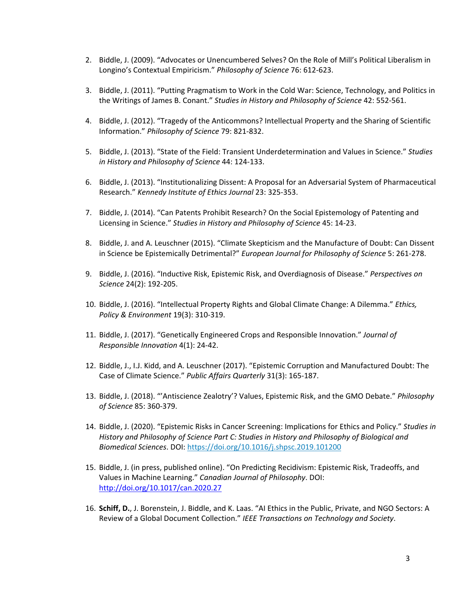- 2. Biddle, J. (2009). "Advocates or Unencumbered Selves? On the Role of Mill's Political Liberalism in Longino's Contextual Empiricism." *Philosophy of Science* 76: 612-623.
- 3. Biddle, J. (2011). "Putting Pragmatism to Work in the Cold War: Science, Technology, and Politics in the Writings of James B. Conant." *Studies in History and Philosophy of Science* 42: 552-561.
- 4. Biddle, J. (2012). "Tragedy of the Anticommons? Intellectual Property and the Sharing of Scientific Information." *Philosophy of Science* 79: 821-832.
- 5. Biddle, J. (2013). "State of the Field: Transient Underdetermination and Values in Science." *Studies in History and Philosophy of Science* 44: 124-133.
- 6. Biddle, J. (2013). "Institutionalizing Dissent: A Proposal for an Adversarial System of Pharmaceutical Research." *Kennedy Institute of Ethics Journal* 23: 325-353.
- 7. Biddle, J. (2014). "Can Patents Prohibit Research? On the Social Epistemology of Patenting and Licensing in Science." *Studies in History and Philosophy of Science* 45: 14-23.
- 8. Biddle, J. and A. Leuschner (2015). "Climate Skepticism and the Manufacture of Doubt: Can Dissent in Science be Epistemically Detrimental?" *European Journal for Philosophy of Science* 5: 261-278.
- 9. Biddle, J. (2016). "Inductive Risk, Epistemic Risk, and Overdiagnosis of Disease." *Perspectives on Science* 24(2): 192-205.
- 10. Biddle, J. (2016). "Intellectual Property Rights and Global Climate Change: A Dilemma." *Ethics, Policy & Environment* 19(3): 310-319.
- 11. Biddle, J. (2017). "Genetically Engineered Crops and Responsible Innovation." *Journal of Responsible Innovation* 4(1): 24-42.
- 12. Biddle, J., I.J. Kidd, and A. Leuschner (2017). "Epistemic Corruption and Manufactured Doubt: The Case of Climate Science." *Public Affairs Quarterly* 31(3): 165-187.
- 13. Biddle, J. (2018). "'Antiscience Zealotry'? Values, Epistemic Risk, and the GMO Debate." *Philosophy of Science* 85: 360-379.
- 14. Biddle, J. (2020). "Epistemic Risks in Cancer Screening: Implications for Ethics and Policy." *Studies in History and Philosophy of Science Part C: Studies in History and Philosophy of Biological and Biomedical Sciences*. DOI: <https://doi.org/10.1016/j.shpsc.2019.101200>
- 15. Biddle, J. (in press, published online). "On Predicting Recidivism: Epistemic Risk, Tradeoffs, and Values in Machine Learning." *Canadian Journal of Philosophy*. DOI: <http://doi.org/10.1017/can.2020.27>
- 16. **Schiff, D.**, J. Borenstein, J. Biddle, and K. Laas. "AI Ethics in the Public, Private, and NGO Sectors: A Review of a Global Document Collection." *IEEE Transactions on Technology and Society*.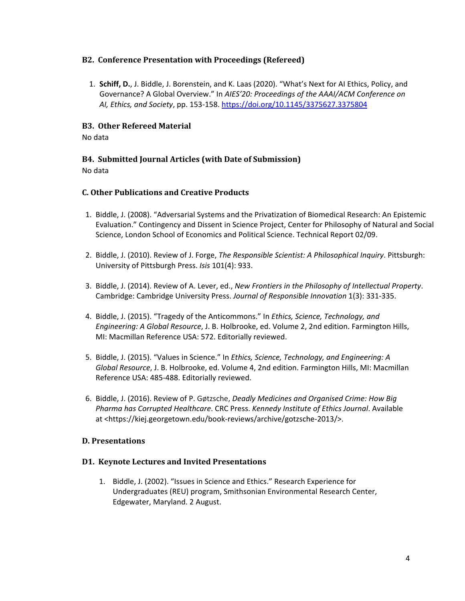#### **B2. Conference Presentation with Proceedings (Refereed)**

1. **Schiff, D.**, J. Biddle, J. Borenstein, and K. Laas (2020). "What's Next for AI Ethics, Policy, and Governance? A Global Overview." In *AIES'20: Proceedings of the AAAI/ACM Conference on AI, Ethics, and Society*, pp. 153-158.<https://doi.org/10.1145/3375627.3375804>

#### **B3. Other Refereed Material**

No data

# **B4. Submitted Journal Articles (with Date of Submission)**

No data

# <span id="page-4-0"></span>**C. Other Publications and Creative Products**

- 1. Biddle, J. (2008). "Adversarial Systems and the Privatization of Biomedical Research: An Epistemic Evaluation." Contingency and Dissent in Science Project, Center for Philosophy of Natural and Social Science, London School of Economics and Political Science. Technical Report 02/09.
- 2. Biddle, J. (2010). Review of J. Forge, *The Responsible Scientist: A Philosophical Inquiry*. Pittsburgh: University of Pittsburgh Press. *Isis* 101(4): 933.
- 3. Biddle, J. (2014). Review of A. Lever, ed., *New Frontiers in the Philosophy of Intellectual Property*. Cambridge: Cambridge University Press. *Journal of Responsible Innovation* 1(3): 331-335.
- 4. Biddle, J. (2015). "Tragedy of the Anticommons." In *Ethics, Science, Technology, and Engineering: A Global Resource*, J. B. Holbrooke, ed. Volume 2, 2nd edition. Farmington Hills, MI: Macmillan Reference USA: 572. Editorially reviewed.
- 5. Biddle, J. (2015). "Values in Science." In *Ethics, Science, Technology, and Engineering: A Global Resource*, J. B. Holbrooke, ed. Volume 4, 2nd edition. Farmington Hills, MI: Macmillan Reference USA: 485-488. Editorially reviewed.
- 6. Biddle, J. (2016). Review of P. Gøtzsche, *Deadly Medicines and Organised Crime: How Big Pharma has Corrupted Healthcare*. CRC Press. *Kennedy Institute of Ethics Journal*. Available at <https://kiej.georgetown.edu/book-reviews/archive/gotzsche-2013/>.

#### <span id="page-4-1"></span>**D. Presentations**

#### **D1. Keynote Lectures and Invited Presentations**

1. Biddle, J. (2002). "Issues in Science and Ethics." Research Experience for Undergraduates (REU) program, Smithsonian Environmental Research Center, Edgewater, Maryland. 2 August.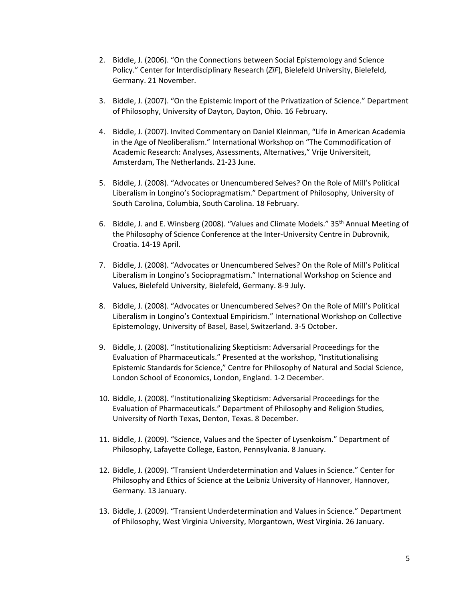- 2. Biddle, J. (2006). "On the Connections between Social Epistemology and Science Policy." Center for Interdisciplinary Research (*ZiF*), Bielefeld University, Bielefeld, Germany. 21 November.
- 3. Biddle, J. (2007). "On the Epistemic Import of the Privatization of Science." Department of Philosophy, University of Dayton, Dayton, Ohio. 16 February.
- 4. Biddle, J. (2007). Invited Commentary on Daniel Kleinman, "Life in American Academia in the Age of Neoliberalism." International Workshop on "The Commodification of Academic Research: Analyses, Assessments, Alternatives," Vrije Universiteit, Amsterdam, The Netherlands. 21-23 June.
- 5. Biddle, J. (2008). "Advocates or Unencumbered Selves? On the Role of Mill's Political Liberalism in Longino's Sociopragmatism." Department of Philosophy, University of South Carolina, Columbia, South Carolina. 18 February.
- 6. Biddle, J. and E. Winsberg (2008). "Values and Climate Models." 35th Annual Meeting of the Philosophy of Science Conference at the Inter-University Centre in Dubrovnik, Croatia. 14-19 April.
- 7. Biddle, J. (2008). "Advocates or Unencumbered Selves? On the Role of Mill's Political Liberalism in Longino's Sociopragmatism." International Workshop on Science and Values, Bielefeld University, Bielefeld, Germany. 8-9 July.
- 8. Biddle, J. (2008). "Advocates or Unencumbered Selves? On the Role of Mill's Political Liberalism in Longino's Contextual Empiricism." International Workshop on Collective Epistemology, University of Basel, Basel, Switzerland. 3-5 October.
- 9. Biddle, J. (2008). "Institutionalizing Skepticism: Adversarial Proceedings for the Evaluation of Pharmaceuticals." Presented at the workshop, "Institutionalising Epistemic Standards for Science," Centre for Philosophy of Natural and Social Science, London School of Economics, London, England. 1-2 December.
- 10. Biddle, J. (2008). "Institutionalizing Skepticism: Adversarial Proceedings for the Evaluation of Pharmaceuticals." Department of Philosophy and Religion Studies, University of North Texas, Denton, Texas. 8 December.
- 11. Biddle, J. (2009). "Science, Values and the Specter of Lysenkoism." Department of Philosophy, Lafayette College, Easton, Pennsylvania. 8 January.
- 12. Biddle, J. (2009). "Transient Underdetermination and Values in Science." Center for Philosophy and Ethics of Science at the Leibniz University of Hannover, Hannover, Germany. 13 January.
- 13. Biddle, J. (2009). "Transient Underdetermination and Values in Science." Department of Philosophy, West Virginia University, Morgantown, West Virginia. 26 January.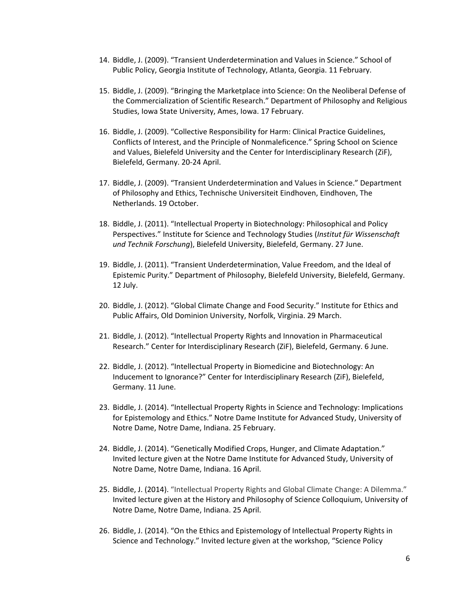- 14. Biddle, J. (2009). "Transient Underdetermination and Values in Science." School of Public Policy, Georgia Institute of Technology, Atlanta, Georgia. 11 February.
- 15. Biddle, J. (2009). "Bringing the Marketplace into Science: On the Neoliberal Defense of the Commercialization of Scientific Research." Department of Philosophy and Religious Studies, Iowa State University, Ames, Iowa. 17 February.
- 16. Biddle, J. (2009). "Collective Responsibility for Harm: Clinical Practice Guidelines, Conflicts of Interest, and the Principle of Nonmaleficence." Spring School on Science and Values, Bielefeld University and the Center for Interdisciplinary Research (ZiF), Bielefeld, Germany. 20-24 April.
- 17. Biddle, J. (2009). "Transient Underdetermination and Values in Science." Department of Philosophy and Ethics, Technische Universiteit Eindhoven, Eindhoven, The Netherlands. 19 October.
- 18. Biddle, J. (2011). "Intellectual Property in Biotechnology: Philosophical and Policy Perspectives." Institute for Science and Technology Studies (*Institut für Wissenschaft und Technik Forschung*), Bielefeld University, Bielefeld, Germany. 27 June.
- 19. Biddle, J. (2011). "Transient Underdetermination, Value Freedom, and the Ideal of Epistemic Purity." Department of Philosophy, Bielefeld University, Bielefeld, Germany. 12 July.
- 20. Biddle, J. (2012). "Global Climate Change and Food Security." Institute for Ethics and Public Affairs, Old Dominion University, Norfolk, Virginia. 29 March.
- 21. Biddle, J. (2012). "Intellectual Property Rights and Innovation in Pharmaceutical Research." Center for Interdisciplinary Research (ZiF), Bielefeld, Germany. 6 June.
- 22. Biddle, J. (2012). "Intellectual Property in Biomedicine and Biotechnology: An Inducement to Ignorance?" Center for Interdisciplinary Research (ZiF), Bielefeld, Germany. 11 June.
- 23. Biddle, J. (2014). "Intellectual Property Rights in Science and Technology: Implications for Epistemology and Ethics." Notre Dame Institute for Advanced Study, University of Notre Dame, Notre Dame, Indiana. 25 February.
- 24. Biddle, J. (2014). "Genetically Modified Crops, Hunger, and Climate Adaptation." Invited lecture given at the Notre Dame Institute for Advanced Study, University of Notre Dame, Notre Dame, Indiana. 16 April.
- 25. Biddle, J. (2014). "Intellectual Property Rights and Global Climate Change: A Dilemma." Invited lecture given at the History and Philosophy of Science Colloquium, University of Notre Dame, Notre Dame, Indiana. 25 April.
- 26. Biddle, J. (2014). "On the Ethics and Epistemology of Intellectual Property Rights in Science and Technology." Invited lecture given at the workshop, "Science Policy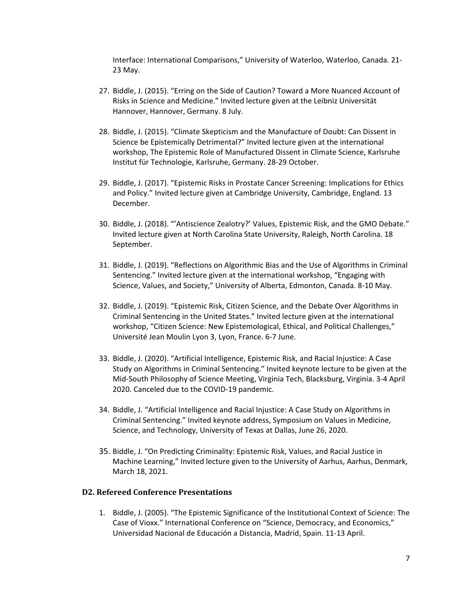Interface: International Comparisons," University of Waterloo, Waterloo, Canada. 21- 23 May.

- 27. Biddle, J. (2015). "Erring on the Side of Caution? Toward a More Nuanced Account of Risks in Science and Medicine." Invited lecture given at the Leibniz Universität Hannover, Hannover, Germany. 8 July.
- 28. Biddle, J. (2015). "Climate Skepticism and the Manufacture of Doubt: Can Dissent in Science be Epistemically Detrimental?" Invited lecture given at the international workshop, The Epistemic Role of Manufactured Dissent in Climate Science, Karlsruhe Institut für Technologie, Karlsruhe, Germany. 28-29 October.
- 29. Biddle, J. (2017). "Epistemic Risks in Prostate Cancer Screening: Implications for Ethics and Policy." Invited lecture given at Cambridge University, Cambridge, England. 13 December.
- 30. Biddle, J. (2018). "'Antiscience Zealotry?' Values, Epistemic Risk, and the GMO Debate." Invited lecture given at North Carolina State University, Raleigh, North Carolina. 18 September.
- 31. Biddle, J. (2019). "Reflections on Algorithmic Bias and the Use of Algorithms in Criminal Sentencing." Invited lecture given at the international workshop, "Engaging with Science, Values, and Society," University of Alberta, Edmonton, Canada. 8-10 May.
- 32. Biddle, J. (2019). "Epistemic Risk, Citizen Science, and the Debate Over Algorithms in Criminal Sentencing in the United States." Invited lecture given at the international workshop, "Citizen Science: New Epistemological, Ethical, and Political Challenges," Université Jean Moulin Lyon 3, Lyon, France. 6-7 June.
- 33. Biddle, J. (2020). "Artificial Intelligence, Epistemic Risk, and Racial Injustice: A Case Study on Algorithms in Criminal Sentencing." Invited keynote lecture to be given at the Mid-South Philosophy of Science Meeting, Virginia Tech, Blacksburg, Virginia. 3-4 April 2020. Canceled due to the COVID-19 pandemic.
- 34. Biddle, J. "Artificial Intelligence and Racial Injustice: A Case Study on Algorithms in Criminal Sentencing." Invited keynote address, Symposium on Values in Medicine, Science, and Technology, University of Texas at Dallas, June 26, 2020.
- 35. Biddle, J. "On Predicting Criminality: Epistemic Risk, Values, and Racial Justice in Machine Learning," Invited lecture given to the University of Aarhus, Aarhus, Denmark, March 18, 2021.

#### **D2. Refereed Conference Presentations**

1. Biddle, J. (2005). "The Epistemic Significance of the Institutional Context of Science: The Case of Vioxx." International Conference on "Science, Democracy, and Economics," Universidad Nacional de Educación a Distancia, Madrid, Spain. 11-13 April.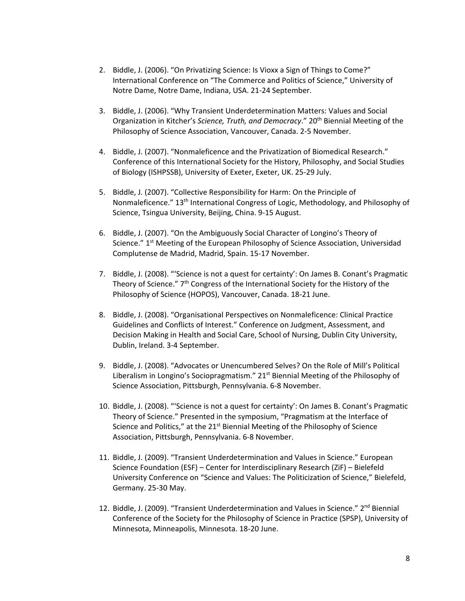- 2. Biddle, J. (2006). "On Privatizing Science: Is Vioxx a Sign of Things to Come?" International Conference on "The Commerce and Politics of Science," University of Notre Dame, Notre Dame, Indiana, USA. 21-24 September.
- 3. Biddle, J. (2006). "Why Transient Underdetermination Matters: Values and Social Organization in Kitcher's *Science, Truth, and Democracy*." 20<sup>th</sup> Biennial Meeting of the Philosophy of Science Association, Vancouver, Canada. 2-5 November.
- 4. Biddle, J. (2007). "Nonmaleficence and the Privatization of Biomedical Research." Conference of this International Society for the History, Philosophy, and Social Studies of Biology (ISHPSSB), University of Exeter, Exeter, UK. 25-29 July.
- 5. Biddle, J. (2007). "Collective Responsibility for Harm: On the Principle of Nonmaleficence." 13th International Congress of Logic, Methodology, and Philosophy of Science, Tsingua University, Beijing, China. 9-15 August.
- 6. Biddle, J. (2007). "On the Ambiguously Social Character of Longino's Theory of Science." 1<sup>st</sup> Meeting of the European Philosophy of Science Association, Universidad Complutense de Madrid, Madrid, Spain. 15-17 November.
- 7. Biddle, J. (2008). "'Science is not a quest for certainty': On James B. Conant's Pragmatic Theory of Science." 7<sup>th</sup> Congress of the International Society for the History of the Philosophy of Science (HOPOS), Vancouver, Canada. 18-21 June.
- 8. Biddle, J. (2008). "Organisational Perspectives on Nonmaleficence: Clinical Practice Guidelines and Conflicts of Interest." Conference on Judgment, Assessment, and Decision Making in Health and Social Care, School of Nursing, Dublin City University, Dublin, Ireland. 3-4 September.
- 9. Biddle, J. (2008). "Advocates or Unencumbered Selves? On the Role of Mill's Political Liberalism in Longino's Sociopragmatism." 21<sup>st</sup> Biennial Meeting of the Philosophy of Science Association, Pittsburgh, Pennsylvania. 6-8 November.
- 10. Biddle, J. (2008). "'Science is not a quest for certainty': On James B. Conant's Pragmatic Theory of Science." Presented in the symposium, "Pragmatism at the Interface of Science and Politics," at the  $21<sup>st</sup>$  Biennial Meeting of the Philosophy of Science Association, Pittsburgh, Pennsylvania. 6-8 November.
- 11. Biddle, J. (2009). "Transient Underdetermination and Values in Science." European Science Foundation (ESF) – Center for Interdisciplinary Research (ZiF) – Bielefeld University Conference on "Science and Values: The Politicization of Science," Bielefeld, Germany. 25-30 May.
- 12. Biddle, J. (2009). "Transient Underdetermination and Values in Science." 2<sup>nd</sup> Biennial Conference of the Society for the Philosophy of Science in Practice (SPSP), University of Minnesota, Minneapolis, Minnesota. 18-20 June.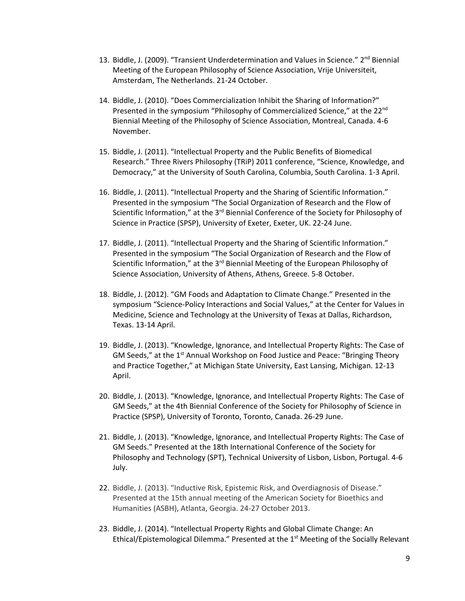- 13. Biddle, J. (2009). "Transient Underdetermination and Values in Science." 2<sup>nd</sup> Biennial Meeting of the European Philosophy of Science Association, Vrije Universiteit, Amsterdam, The Netherlands. 21-24 October.
- 14. Biddle, J. (2010). "Does Commercialization Inhibit the Sharing of Information?" Presented in the symposium "Philosophy of Commercialized Science," at the 22<sup>nd</sup> Biennial Meeting of the Philosophy of Science Association, Montreal, Canada. 4-6 November.
- 15. Biddle, J. (2011). "Intellectual Property and the Public Benefits of Biomedical Research." Three Rivers Philosophy (TRiP) 2011 conference, "Science, Knowledge, and Democracy," at the University of South Carolina, Columbia, South Carolina. 1-3 April.
- 16. Biddle, J. (2011). "Intellectual Property and the Sharing of Scientific Information." Presented in the symposium "The Social Organization of Research and the Flow of Scientific Information," at the 3<sup>rd</sup> Biennial Conference of the Society for Philosophy of Science in Practice (SPSP), University of Exeter, Exeter, UK. 22-24 June.
- 17. Biddle, J. (2011). "Intellectual Property and the Sharing of Scientific Information." Presented in the symposium "The Social Organization of Research and the Flow of Scientific Information," at the 3<sup>rd</sup> Biennial Meeting of the European Philosophy of Science Association, University of Athens, Athens, Greece. 5-8 October.
- 18. Biddle, J. (2012). "GM Foods and Adaptation to Climate Change." Presented in the symposium "Science-Policy Interactions and Social Values," at the Center for Values in Medicine, Science and Technology at the University of Texas at Dallas, Richardson, Texas. 13-14 April.
- 19. Biddle, J. (2013). "Knowledge, Ignorance, and Intellectual Property Rights: The Case of GM Seeds," at the 1<sup>st</sup> Annual Workshop on Food Justice and Peace: "Bringing Theory and Practice Together," at Michigan State University, East Lansing, Michigan. 12-13 April.
- 20. Biddle, J. (2013). "Knowledge, Ignorance, and Intellectual Property Rights: The Case of GM Seeds," at the 4th Biennial Conference of the Society for Philosophy of Science in Practice (SPSP), University of Toronto, Toronto, Canada. 26-29 June.
- 21. Biddle, J. (2013). "Knowledge, Ignorance, and Intellectual Property Rights: The Case of GM Seeds." Presented at the 18th International Conference of the Society for Philosophy and Technology (SPT), Technical University of Lisbon, Lisbon, Portugal. 4-6 July.
- 22. Biddle, J. (2013). "Inductive Risk, Epistemic Risk, and Overdiagnosis of Disease." Presented at the 15th annual meeting of the American Society for Bioethics and Humanities (ASBH), Atlanta, Georgia. 24-27 October 2013.
- 23. Biddle, J. (2014). "Intellectual Property Rights and Global Climate Change: An Ethical/Epistemological Dilemma." Presented at the  $1<sup>st</sup>$  Meeting of the Socially Relevant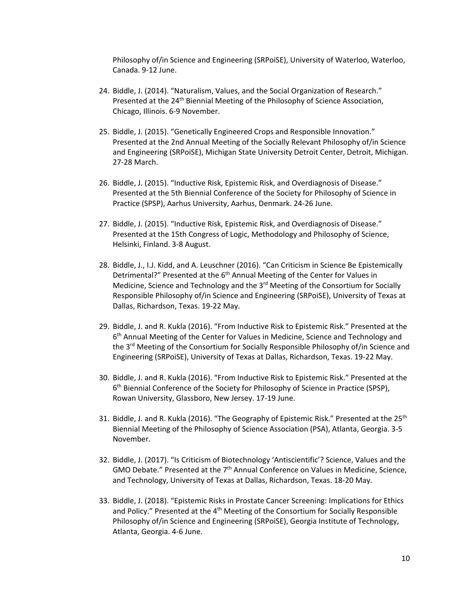Philosophy of/in Science and Engineering (SRPoiSE), University of Waterloo, Waterloo, Canada. 9-12 June.

- 24. Biddle, J. (2014). "Naturalism, Values, and the Social Organization of Research." Presented at the 24<sup>th</sup> Biennial Meeting of the Philosophy of Science Association, Chicago, Illinois. 6-9 November.
- 25. Biddle, J. (2015). "Genetically Engineered Crops and Responsible Innovation." Presented at the 2nd Annual Meeting of the Socially Relevant Philosophy of/in Science and Engineering (SRPoiSE), Michigan State University Detroit Center, Detroit, Michigan. 27-28 March.
- 26. Biddle, J. (2015). "Inductive Risk, Epistemic Risk, and Overdiagnosis of Disease." Presented at the 5th Biennial Conference of the Society for Philosophy of Science in Practice (SPSP), Aarhus University, Aarhus, Denmark. 24-26 June.
- 27. Biddle, J. (2015). "Inductive Risk, Epistemic Risk, and Overdiagnosis of Disease." Presented at the 15th Congress of Logic, Methodology and Philosophy of Science, Helsinki, Finland. 3-8 August.
- 28. Biddle, J., I.J. Kidd, and A. Leuschner (2016). "Can Criticism in Science Be Epistemically Detrimental?" Presented at the 6<sup>th</sup> Annual Meeting of the Center for Values in Medicine, Science and Technology and the  $3<sup>rd</sup>$  Meeting of the Consortium for Socially Responsible Philosophy of/in Science and Engineering (SRPoiSE), University of Texas at Dallas, Richardson, Texas. 19-22 May.
- 29. Biddle, J. and R. Kukla (2016). "From Inductive Risk to Epistemic Risk." Presented at the 6<sup>th</sup> Annual Meeting of the Center for Values in Medicine, Science and Technology and the 3<sup>rd</sup> Meeting of the Consortium for Socially Responsible Philosophy of/in Science and Engineering (SRPoiSE), University of Texas at Dallas, Richardson, Texas. 19-22 May.
- 30. Biddle, J. and R. Kukla (2016). "From Inductive Risk to Epistemic Risk." Presented at the 6<sup>th</sup> Biennial Conference of the Society for Philosophy of Science in Practice (SPSP), Rowan University, Glassboro, New Jersey. 17-19 June.
- 31. Biddle, J. and R. Kukla (2016). "The Geography of Epistemic Risk." Presented at the 25<sup>th</sup> Biennial Meeting of the Philosophy of Science Association (PSA), Atlanta, Georgia. 3-5 November.
- 32. Biddle, J. (2017). "Is Criticism of Biotechnology 'Antiscientific'? Science, Values and the GMO Debate." Presented at the  $7<sup>th</sup>$  Annual Conference on Values in Medicine, Science, and Technology, University of Texas at Dallas, Richardson, Texas. 18-20 May.
- 33. Biddle, J. (2018). "Epistemic Risks in Prostate Cancer Screening: Implications for Ethics and Policy." Presented at the 4<sup>th</sup> Meeting of the Consortium for Socially Responsible Philosophy of/in Science and Engineering (SRPoiSE), Georgia Institute of Technology, Atlanta, Georgia. 4-6 June.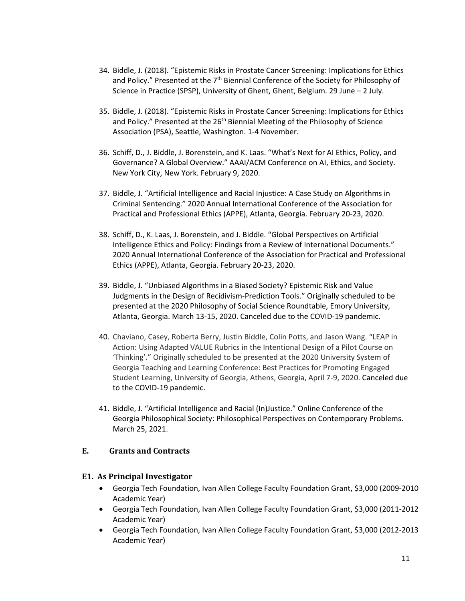- 34. Biddle, J. (2018). "Epistemic Risks in Prostate Cancer Screening: Implications for Ethics and Policy." Presented at the  $7<sup>th</sup>$  Biennial Conference of the Society for Philosophy of Science in Practice (SPSP), University of Ghent, Ghent, Belgium. 29 June – 2 July.
- 35. Biddle, J. (2018). "Epistemic Risks in Prostate Cancer Screening: Implications for Ethics and Policy." Presented at the 26<sup>th</sup> Biennial Meeting of the Philosophy of Science Association (PSA), Seattle, Washington. 1-4 November.
- 36. Schiff, D., J. Biddle, J. Borenstein, and K. Laas. "What's Next for AI Ethics, Policy, and Governance? A Global Overview." AAAI/ACM Conference on AI, Ethics, and Society. New York City, New York. February 9, 2020.
- 37. Biddle, J. "Artificial Intelligence and Racial Injustice: A Case Study on Algorithms in Criminal Sentencing." 2020 Annual International Conference of the Association for Practical and Professional Ethics (APPE), Atlanta, Georgia. February 20-23, 2020.
- 38. Schiff, D., K. Laas, J. Borenstein, and J. Biddle. "Global Perspectives on Artificial Intelligence Ethics and Policy: Findings from a Review of International Documents." 2020 Annual International Conference of the Association for Practical and Professional Ethics (APPE), Atlanta, Georgia. February 20-23, 2020.
- 39. Biddle, J. "Unbiased Algorithms in a Biased Society? Epistemic Risk and Value Judgments in the Design of Recidivism-Prediction Tools." Originally scheduled to be presented at the 2020 Philosophy of Social Science Roundtable, Emory University, Atlanta, Georgia. March 13-15, 2020. Canceled due to the COVID-19 pandemic.
- 40. Chaviano, Casey, Roberta Berry, Justin Biddle, Colin Potts, and Jason Wang. "LEAP in Action: Using Adapted VALUE Rubrics in the Intentional Design of a Pilot Course on 'Thinking'." Originally scheduled to be presented at the 2020 University System of Georgia Teaching and Learning Conference: Best Practices for Promoting Engaged Student Learning, University of Georgia, Athens, Georgia, April 7-9, 2020. Canceled due to the COVID-19 pandemic.
- 41. Biddle, J. "Artificial Intelligence and Racial (In)Justice." Online Conference of the Georgia Philosophical Society: Philosophical Perspectives on Contemporary Problems. March 25, 2021.

#### <span id="page-11-0"></span>**E. Grants and Contracts**

#### **E1. As Principal Investigator**

- Georgia Tech Foundation, Ivan Allen College Faculty Foundation Grant, \$3,000 (2009-2010 Academic Year)
- Georgia Tech Foundation, Ivan Allen College Faculty Foundation Grant, \$3,000 (2011-2012 Academic Year)
- Georgia Tech Foundation, Ivan Allen College Faculty Foundation Grant, \$3,000 (2012-2013 Academic Year)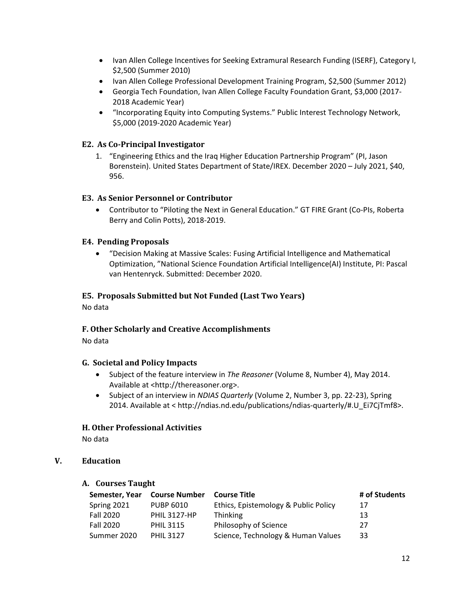- Ivan Allen College Incentives for Seeking Extramural Research Funding (ISERF), Category I, \$2,500 (Summer 2010)
- Ivan Allen College Professional Development Training Program, \$2,500 (Summer 2012)
- Georgia Tech Foundation, Ivan Allen College Faculty Foundation Grant, \$3,000 (2017- 2018 Academic Year)
- "Incorporating Equity into Computing Systems." Public Interest Technology Network, \$5,000 (2019-2020 Academic Year)

# **E2. As Co-Principal Investigator**

1. "Engineering Ethics and the Iraq Higher Education Partnership Program" (PI, Jason Borenstein). United States Department of State/IREX. December 2020 – July 2021, \$40, 956.

# **E3. As Senior Personnel or Contributor**

• Contributor to "Piloting the Next in General Education." GT FIRE Grant (Co-PIs, Roberta Berry and Colin Potts), 2018-2019.

#### **E4. Pending Proposals**

• "Decision Making at Massive Scales: Fusing Artificial Intelligence and Mathematical Optimization, "National Science Foundation Artificial Intelligence(AI) Institute, PI: Pascal van Hentenryck. Submitted: December 2020.

#### **E5. Proposals Submitted but Not Funded (Last Two Years)**

No data

# <span id="page-12-0"></span>**F. Other Scholarly and Creative Accomplishments**

No data

#### <span id="page-12-1"></span>**G. Societal and Policy Impacts**

- Subject of the feature interview in *The Reasoner* (Volume 8, Number 4), May 2014. Available at <http://thereasoner.org>.
- Subject of an interview in *NDIAS Quarterly* (Volume 2, Number 3, pp. 22-23), Spring 2014. Available at < http://ndias.nd.edu/publications/ndias-quarterly/#.U\_Ei7CjTmf8>.

#### <span id="page-12-2"></span>**H. Other Professional Activities**

No data

# <span id="page-12-4"></span><span id="page-12-3"></span>**V. Education**

#### **A. Courses Taught**

| Semester, Year   | <b>Course Number</b> | <b>Course Title</b>                  | # of Students |
|------------------|----------------------|--------------------------------------|---------------|
| Spring 2021      | <b>PUBP 6010</b>     | Ethics, Epistemology & Public Policy | 17            |
| <b>Fall 2020</b> | <b>PHIL 3127-HP</b>  | <b>Thinking</b>                      | 13            |
| Fall 2020        | <b>PHIL 3115</b>     | Philosophy of Science                | 27            |
| Summer 2020      | <b>PHIL 3127</b>     | Science, Technology & Human Values   | 33            |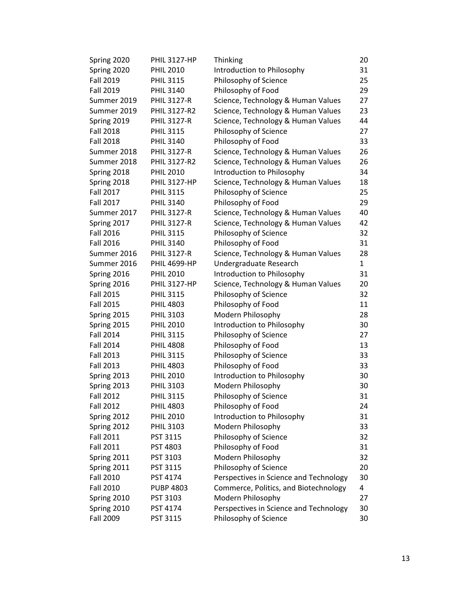| Spring 2020      | <b>PHIL 3127-HP</b> | Thinking                               | 20           |
|------------------|---------------------|----------------------------------------|--------------|
| Spring 2020      | <b>PHIL 2010</b>    | Introduction to Philosophy             | 31           |
| <b>Fall 2019</b> | <b>PHIL 3115</b>    | Philosophy of Science                  | 25           |
| <b>Fall 2019</b> | <b>PHIL 3140</b>    | Philosophy of Food                     | 29           |
| Summer 2019      | <b>PHIL 3127-R</b>  | Science, Technology & Human Values     | 27           |
| Summer 2019      | PHIL 3127-R2        | Science, Technology & Human Values     | 23           |
| Spring 2019      | <b>PHIL 3127-R</b>  | Science, Technology & Human Values     | 44           |
| <b>Fall 2018</b> | <b>PHIL 3115</b>    | Philosophy of Science                  | 27           |
| <b>Fall 2018</b> | <b>PHIL 3140</b>    | Philosophy of Food                     | 33           |
| Summer 2018      | <b>PHIL 3127-R</b>  | Science, Technology & Human Values     | 26           |
| Summer 2018      | PHIL 3127-R2        | Science, Technology & Human Values     | 26           |
| Spring 2018      | <b>PHIL 2010</b>    | Introduction to Philosophy             | 34           |
| Spring 2018      | <b>PHIL 3127-HP</b> | Science, Technology & Human Values     | 18           |
| <b>Fall 2017</b> | <b>PHIL 3115</b>    | Philosophy of Science                  | 25           |
| <b>Fall 2017</b> | <b>PHIL 3140</b>    | Philosophy of Food                     | 29           |
| Summer 2017      | <b>PHIL 3127-R</b>  | Science, Technology & Human Values     | 40           |
| Spring 2017      | <b>PHIL 3127-R</b>  | Science, Technology & Human Values     | 42           |
| <b>Fall 2016</b> | <b>PHIL 3115</b>    | Philosophy of Science                  | 32           |
| <b>Fall 2016</b> | <b>PHIL 3140</b>    | Philosophy of Food                     | 31           |
| Summer 2016      | <b>PHIL 3127-R</b>  | Science, Technology & Human Values     | 28           |
| Summer 2016      | <b>PHIL 4699-HP</b> | Undergraduate Research                 | $\mathbf{1}$ |
| Spring 2016      | <b>PHIL 2010</b>    | Introduction to Philosophy             | 31           |
| Spring 2016      | <b>PHIL 3127-HP</b> | Science, Technology & Human Values     | 20           |
| <b>Fall 2015</b> | <b>PHIL 3115</b>    | Philosophy of Science                  | 32           |
| <b>Fall 2015</b> | <b>PHIL 4803</b>    | Philosophy of Food                     | 11           |
| Spring 2015      | <b>PHIL 3103</b>    | Modern Philosophy                      | 28           |
| Spring 2015      | <b>PHIL 2010</b>    | Introduction to Philosophy             | 30           |
| <b>Fall 2014</b> | <b>PHIL 3115</b>    | Philosophy of Science                  | 27           |
| <b>Fall 2014</b> | <b>PHIL 4808</b>    | Philosophy of Food                     | 13           |
| <b>Fall 2013</b> | <b>PHIL 3115</b>    | Philosophy of Science                  | 33           |
| <b>Fall 2013</b> | <b>PHIL 4803</b>    | Philosophy of Food                     | 33           |
| Spring 2013      | <b>PHIL 2010</b>    | Introduction to Philosophy             | 30           |
| Spring 2013      | <b>PHIL 3103</b>    | Modern Philosophy                      | 30           |
| <b>Fall 2012</b> | <b>PHIL 3115</b>    | Philosophy of Science                  | 31           |
| <b>Fall 2012</b> | <b>PHIL 4803</b>    | Philosophy of Food                     | 24           |
| Spring 2012      | <b>PHIL 2010</b>    | Introduction to Philosophy             | 31           |
| Spring 2012      | <b>PHIL 3103</b>    | Modern Philosophy                      | 33           |
| <b>Fall 2011</b> | PST 3115            | Philosophy of Science                  | 32           |
| <b>Fall 2011</b> | PST 4803            | Philosophy of Food                     | 31           |
| Spring 2011      | PST 3103            | Modern Philosophy                      | 32           |
| Spring 2011      | PST 3115            | Philosophy of Science                  | 20           |
| <b>Fall 2010</b> | PST 4174            | Perspectives in Science and Technology | 30           |
| <b>Fall 2010</b> | <b>PUBP 4803</b>    | Commerce, Politics, and Biotechnology  | 4            |
| Spring 2010      | PST 3103            | Modern Philosophy                      | 27           |
| Spring 2010      | PST 4174            | Perspectives in Science and Technology | 30           |
| <b>Fall 2009</b> | PST 3115            | Philosophy of Science                  | 30           |
|                  |                     |                                        |              |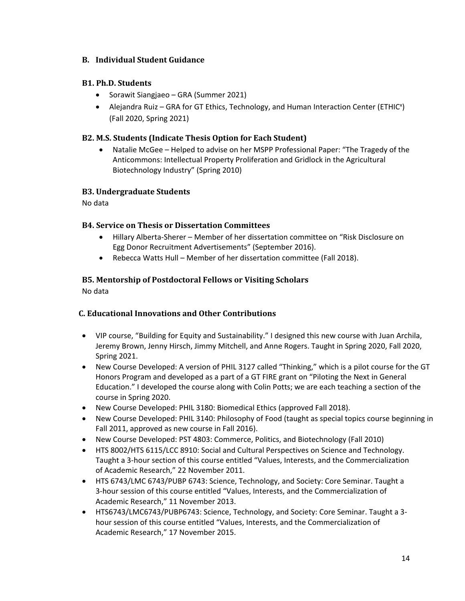# <span id="page-14-0"></span>**B. Individual Student Guidance**

# **B1. Ph.D. Students**

- Sorawit Siangjaeo GRA (Summer 2021)
- Alejandra Ruiz GRA for GT Ethics, Technology, and Human Interaction Center (ETHIC<sup>x</sup>) (Fall 2020, Spring 2021)

# **B2. M.S. Students (Indicate Thesis Option for Each Student)**

• Natalie McGee – Helped to advise on her MSPP Professional Paper: "The Tragedy of the Anticommons: Intellectual Property Proliferation and Gridlock in the Agricultural Biotechnology Industry" (Spring 2010)

# **B3. Undergraduate Students**

No data

# **B4. Service on Thesis or Dissertation Committees**

- Hillary Alberta-Sherer Member of her dissertation committee on "Risk Disclosure on Egg Donor Recruitment Advertisements" (September 2016).
- Rebecca Watts Hull Member of her dissertation committee (Fall 2018).

# **B5. Mentorship of Postdoctoral Fellows or Visiting Scholars**

No data

# <span id="page-14-1"></span>**C. Educational Innovations and Other Contributions**

- VIP course, "Building for Equity and Sustainability." I designed this new course with Juan Archila, Jeremy Brown, Jenny Hirsch, Jimmy Mitchell, and Anne Rogers. Taught in Spring 2020, Fall 2020, Spring 2021.
- New Course Developed: A version of PHIL 3127 called "Thinking," which is a pilot course for the GT Honors Program and developed as a part of a GT FIRE grant on "Piloting the Next in General Education." I developed the course along with Colin Potts; we are each teaching a section of the course in Spring 2020.
- New Course Developed: PHIL 3180: Biomedical Ethics (approved Fall 2018).
- New Course Developed: PHIL 3140: Philosophy of Food (taught as special topics course beginning in Fall 2011, approved as new course in Fall 2016).
- New Course Developed: PST 4803: Commerce, Politics, and Biotechnology (Fall 2010)
- HTS 8002/HTS 6115/LCC 8910: Social and Cultural Perspectives on Science and Technology. Taught a 3-hour section of this course entitled "Values, Interests, and the Commercialization of Academic Research," 22 November 2011.
- HTS 6743/LMC 6743/PUBP 6743: Science, Technology, and Society: Core Seminar. Taught a 3-hour session of this course entitled "Values, Interests, and the Commercialization of Academic Research," 11 November 2013.
- HTS6743/LMC6743/PUBP6743: Science, Technology, and Society: Core Seminar. Taught a 3 hour session of this course entitled "Values, Interests, and the Commercialization of Academic Research," 17 November 2015.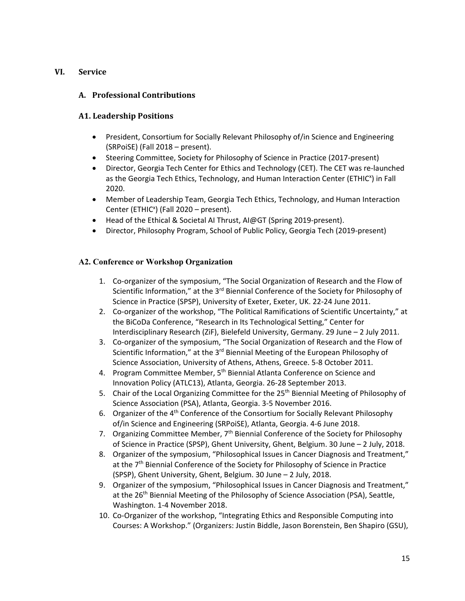#### <span id="page-15-1"></span><span id="page-15-0"></span>**VI. Service**

# **A. Professional Contributions**

#### **A1. Leadership Positions**

- President, Consortium for Socially Relevant Philosophy of/in Science and Engineering (SRPoiSE) (Fall 2018 – present).
- Steering Committee, Society for Philosophy of Science in Practice (2017-present)
- Director, Georgia Tech Center for Ethics and Technology (CET). The CET was re-launched as the Georgia Tech Ethics, Technology, and Human Interaction Center (ETHIC<sup>x</sup>) in Fall 2020.
- Member of Leadership Team, Georgia Tech Ethics, Technology, and Human Interaction Center (ETHIC<sup>x</sup>) (Fall 2020 - present).
- Head of the Ethical & Societal AI Thrust, AI@GT (Spring 2019-present).
- Director, Philosophy Program, School of Public Policy, Georgia Tech (2019-present)

#### **A2. Conference or Workshop Organization**

- 1. Co-organizer of the symposium, "The Social Organization of Research and the Flow of Scientific Information," at the  $3<sup>rd</sup>$  Biennial Conference of the Society for Philosophy of Science in Practice (SPSP), University of Exeter, Exeter, UK. 22-24 June 2011.
- 2. Co-organizer of the workshop, "The Political Ramifications of Scientific Uncertainty," at the BiCoDa Conference, "Research in Its Technological Setting," Center for Interdisciplinary Research (ZiF), Bielefeld University, Germany. 29 June – 2 July 2011.
- 3. Co-organizer of the symposium, "The Social Organization of Research and the Flow of Scientific Information," at the 3<sup>rd</sup> Biennial Meeting of the European Philosophy of Science Association, University of Athens, Athens, Greece. 5-8 October 2011.
- 4. Program Committee Member, 5<sup>th</sup> Biennial Atlanta Conference on Science and Innovation Policy (ATLC13), Atlanta, Georgia. 26-28 September 2013.
- 5. Chair of the Local Organizing Committee for the 25<sup>th</sup> Biennial Meeting of Philosophy of Science Association (PSA), Atlanta, Georgia. 3-5 November 2016.
- 6. Organizer of the 4th Conference of the Consortium for Socially Relevant Philosophy of/in Science and Engineering (SRPoiSE), Atlanta, Georgia. 4-6 June 2018.
- 7. Organizing Committee Member,  $7<sup>th</sup>$  Biennial Conference of the Society for Philosophy of Science in Practice (SPSP), Ghent University, Ghent, Belgium. 30 June – 2 July, 2018.
- 8. Organizer of the symposium, "Philosophical Issues in Cancer Diagnosis and Treatment," at the  $7<sup>th</sup>$  Biennial Conference of the Society for Philosophy of Science in Practice (SPSP), Ghent University, Ghent, Belgium. 30 June – 2 July, 2018.
- 9. Organizer of the symposium, "Philosophical Issues in Cancer Diagnosis and Treatment," at the 26<sup>th</sup> Biennial Meeting of the Philosophy of Science Association (PSA), Seattle, Washington. 1-4 November 2018.
- 10. Co-Organizer of the workshop, "Integrating Ethics and Responsible Computing into Courses: A Workshop." (Organizers: Justin Biddle, Jason Borenstein, Ben Shapiro (GSU),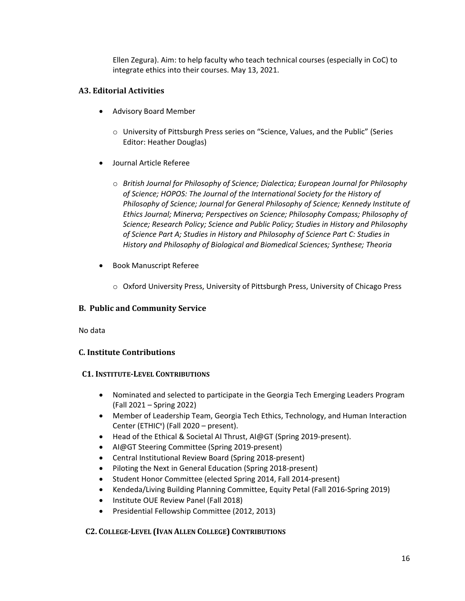Ellen Zegura). Aim: to help faculty who teach technical courses (especially in CoC) to integrate ethics into their courses. May 13, 2021.

# **A3. Editorial Activities**

- Advisory Board Member
	- o University of Pittsburgh Press series on "Science, Values, and the Public" (Series Editor: Heather Douglas)
- Journal Article Referee
	- o *British Journal for Philosophy of Science; Dialectica; European Journal for Philosophy of Science; HOPOS: The Journal of the International Society for the History of Philosophy of Science; Journal for General Philosophy of Science; Kennedy Institute of Ethics Journal; Minerva; Perspectives on Science; Philosophy Compass; Philosophy of Science; Research Policy; Science and Public Policy; Studies in History and Philosophy of Science Part A; Studies in History and Philosophy of Science Part C: Studies in History and Philosophy of Biological and Biomedical Sciences; Synthese; Theoria*
- Book Manuscript Referee
	- o Oxford University Press, University of Pittsburgh Press, University of Chicago Press

# <span id="page-16-0"></span>**B. Public and Community Service**

No data

# <span id="page-16-1"></span>**C. Institute Contributions**

#### **C1. INSTITUTE-LEVEL CONTRIBUTIONS**

- Nominated and selected to participate in the Georgia Tech Emerging Leaders Program (Fall 2021 – Spring 2022)
- Member of Leadership Team, Georgia Tech Ethics, Technology, and Human Interaction Center (ETHIC<sup>x</sup>) (Fall 2020 - present).
- Head of the Ethical & Societal AI Thrust, AI@GT (Spring 2019-present).
- AI@GT Steering Committee (Spring 2019-present)
- Central Institutional Review Board (Spring 2018-present)
- Piloting the Next in General Education (Spring 2018-present)
- Student Honor Committee (elected Spring 2014, Fall 2014-present)
- Kendeda/Living Building Planning Committee, Equity Petal (Fall 2016-Spring 2019)
- Institute OUE Review Panel (Fall 2018)
- Presidential Fellowship Committee (2012, 2013)

# **C2. COLLEGE-LEVEL (IVAN ALLEN COLLEGE) CONTRIBUTIONS**